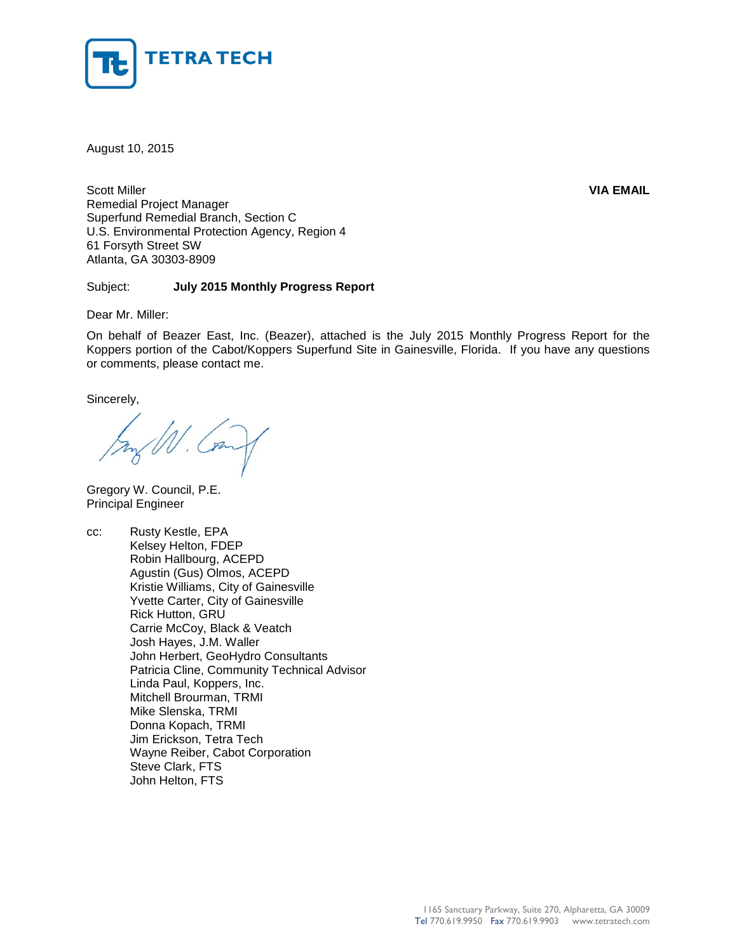

August 10, 2015

Scott Miller **VIA EMAIL** Remedial Project Manager Superfund Remedial Branch, Section C U.S. Environmental Protection Agency, Region 4 61 Forsyth Street SW Atlanta, GA 30303-8909

#### Subject: **July 2015 Monthly Progress Report**

Dear Mr. Miller:

On behalf of Beazer East, Inc. (Beazer), attached is the July 2015 Monthly Progress Report for the Koppers portion of the Cabot/Koppers Superfund Site in Gainesville, Florida. If you have any questions or comments, please contact me.

Sincerely,

Gregory W. Council, P.E. Principal Engineer

cc: Rusty Kestle, EPA Kelsey Helton, FDEP Robin Hallbourg, ACEPD Agustin (Gus) Olmos, ACEPD Kristie Williams, City of Gainesville Yvette Carter, City of Gainesville Rick Hutton, GRU Carrie McCoy, Black & Veatch Josh Hayes, J.M. Waller John Herbert, GeoHydro Consultants Patricia Cline, Community Technical Advisor Linda Paul, Koppers, Inc. Mitchell Brourman, TRMI Mike Slenska, TRMI Donna Kopach, TRMI Jim Erickson, Tetra Tech Wayne Reiber, Cabot Corporation Steve Clark, FTS John Helton, FTS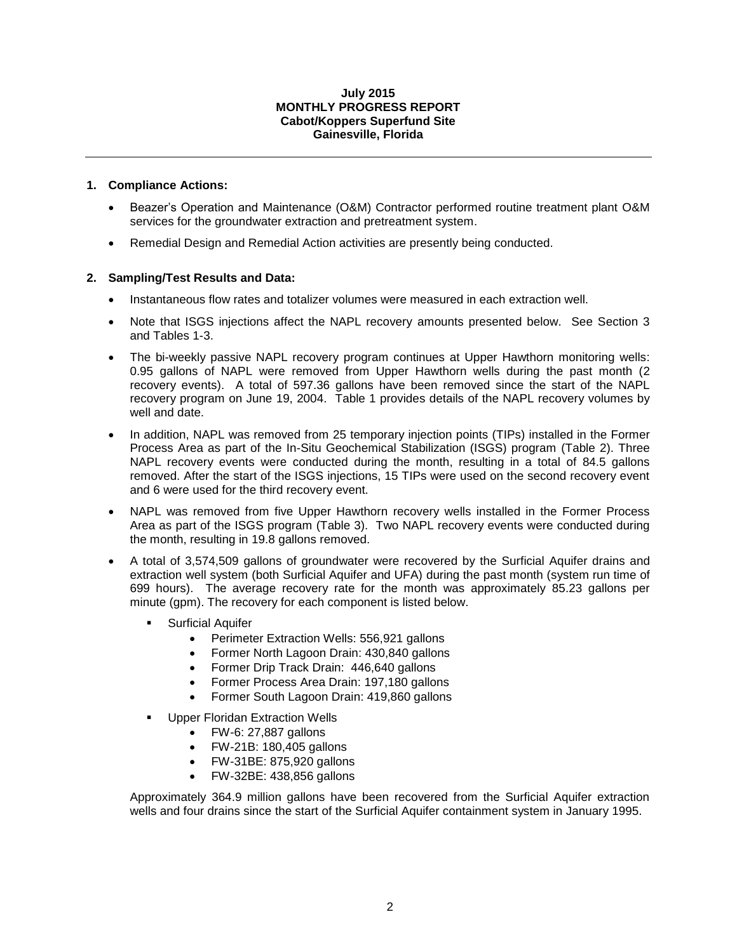#### **July 2015 MONTHLY PROGRESS REPORT Cabot/Koppers Superfund Site Gainesville, Florida**

### **1. Compliance Actions:**

- Beazer's Operation and Maintenance (O&M) Contractor performed routine treatment plant O&M services for the groundwater extraction and pretreatment system.
- Remedial Design and Remedial Action activities are presently being conducted.

## **2. Sampling/Test Results and Data:**

- Instantaneous flow rates and totalizer volumes were measured in each extraction well.
- Note that ISGS injections affect the NAPL recovery amounts presented below. See Section 3 and Tables 1-3.
- The bi-weekly passive NAPL recovery program continues at Upper Hawthorn monitoring wells: 0.95 gallons of NAPL were removed from Upper Hawthorn wells during the past month (2 recovery events). A total of 597.36 gallons have been removed since the start of the NAPL recovery program on June 19, 2004. Table 1 provides details of the NAPL recovery volumes by well and date.
- In addition, NAPL was removed from 25 temporary injection points (TIPs) installed in the Former Process Area as part of the In-Situ Geochemical Stabilization (ISGS) program (Table 2). Three NAPL recovery events were conducted during the month, resulting in a total of 84.5 gallons removed. After the start of the ISGS injections, 15 TIPs were used on the second recovery event and 6 were used for the third recovery event.
- NAPL was removed from five Upper Hawthorn recovery wells installed in the Former Process Area as part of the ISGS program (Table 3). Two NAPL recovery events were conducted during the month, resulting in 19.8 gallons removed.
- A total of 3,574,509 gallons of groundwater were recovered by the Surficial Aquifer drains and extraction well system (both Surficial Aquifer and UFA) during the past month (system run time of 699 hours). The average recovery rate for the month was approximately 85.23 gallons per minute (gpm). The recovery for each component is listed below.
	- Surficial Aquifer
		- Perimeter Extraction Wells: 556,921 gallons
		- Former North Lagoon Drain: 430,840 gallons
		- Former Drip Track Drain: 446,640 gallons
		- Former Process Area Drain: 197,180 gallons
		- Former South Lagoon Drain: 419,860 gallons
	- Upper Floridan Extraction Wells
		- FW-6: 27,887 gallons
		- FW-21B: 180,405 gallons
		- FW-31BE: 875,920 gallons
		- FW-32BE: 438,856 gallons

Approximately 364.9 million gallons have been recovered from the Surficial Aquifer extraction wells and four drains since the start of the Surficial Aquifer containment system in January 1995.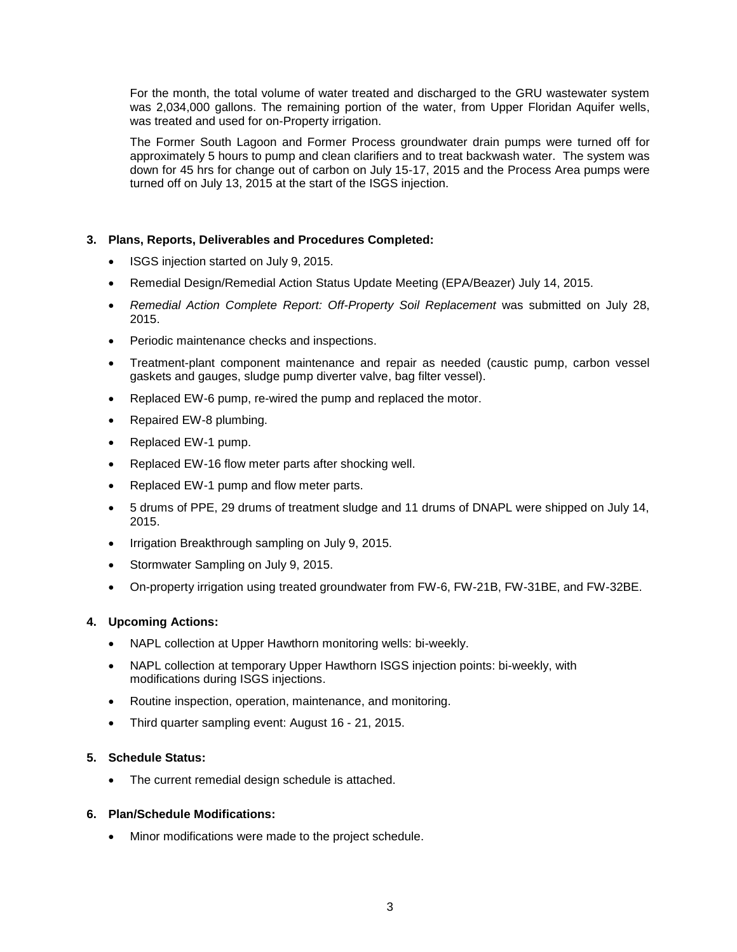For the month, the total volume of water treated and discharged to the GRU wastewater system was 2,034,000 gallons. The remaining portion of the water, from Upper Floridan Aquifer wells, was treated and used for on-Property irrigation.

The Former South Lagoon and Former Process groundwater drain pumps were turned off for approximately 5 hours to pump and clean clarifiers and to treat backwash water. The system was down for 45 hrs for change out of carbon on July 15-17, 2015 and the Process Area pumps were turned off on July 13, 2015 at the start of the ISGS injection.

## **3. Plans, Reports, Deliverables and Procedures Completed:**

- ISGS injection started on July 9, 2015.
- Remedial Design/Remedial Action Status Update Meeting (EPA/Beazer) July 14, 2015.
- *Remedial Action Complete Report: Off-Property Soil Replacement* was submitted on July 28, 2015.
- Periodic maintenance checks and inspections.
- Treatment-plant component maintenance and repair as needed (caustic pump, carbon vessel gaskets and gauges, sludge pump diverter valve, bag filter vessel).
- Replaced EW-6 pump, re-wired the pump and replaced the motor.
- Repaired EW-8 plumbing.
- Replaced EW-1 pump.
- Replaced EW-16 flow meter parts after shocking well.
- Replaced EW-1 pump and flow meter parts.
- 5 drums of PPE, 29 drums of treatment sludge and 11 drums of DNAPL were shipped on July 14, 2015.
- Irrigation Breakthrough sampling on July 9, 2015.
- Stormwater Sampling on July 9, 2015.
- On-property irrigation using treated groundwater from FW-6, FW-21B, FW-31BE, and FW-32BE.

#### **4. Upcoming Actions:**

- NAPL collection at Upper Hawthorn monitoring wells: bi-weekly.
- NAPL collection at temporary Upper Hawthorn ISGS injection points: bi-weekly, with modifications during ISGS injections.
- Routine inspection, operation, maintenance, and monitoring.
- Third quarter sampling event: August 16 21, 2015.

#### **5. Schedule Status:**

The current remedial design schedule is attached.

### **6. Plan/Schedule Modifications:**

Minor modifications were made to the project schedule.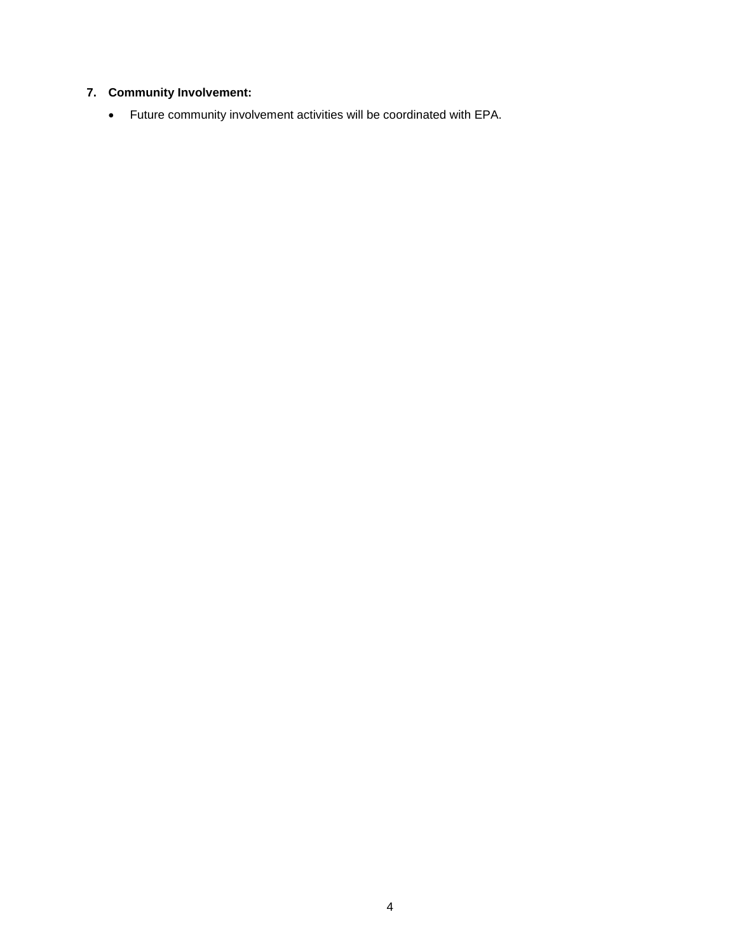## **7. Community Involvement:**

Future community involvement activities will be coordinated with EPA.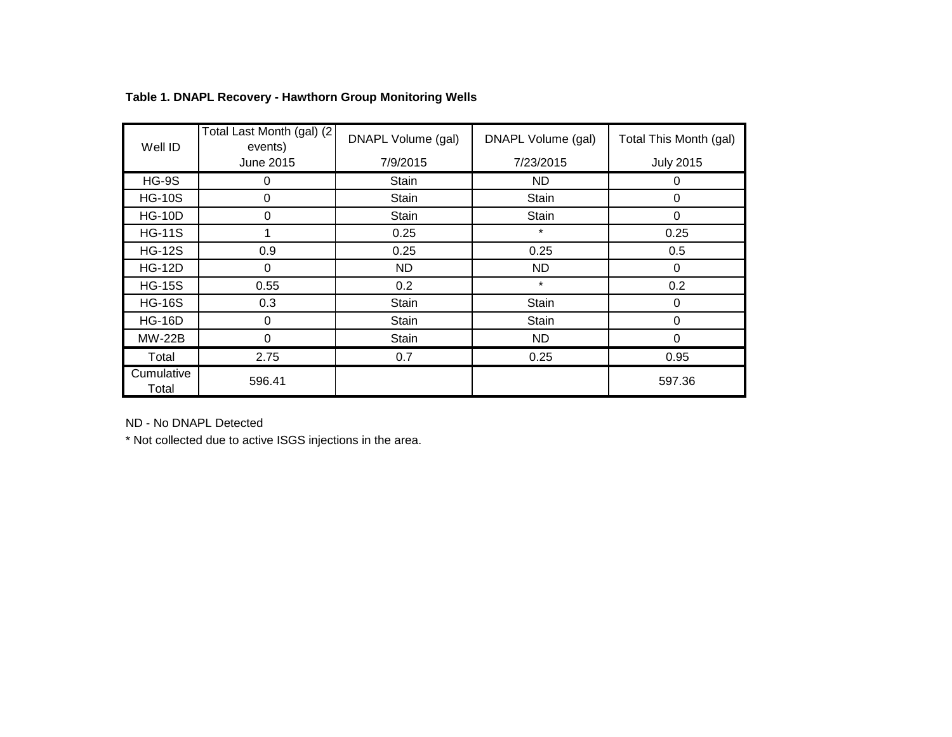| Well ID             | Total Last Month (gal) (2<br>events) | DNAPL Volume (gal) | DNAPL Volume (gal) | Total This Month (gal) |
|---------------------|--------------------------------------|--------------------|--------------------|------------------------|
|                     | June 2015                            | 7/9/2015           | 7/23/2015          | <b>July 2015</b>       |
| $HG-9S$             | 0                                    | Stain              | ND.                | 0                      |
| <b>HG-10S</b>       | 0                                    | Stain              | Stain              | 0                      |
| <b>HG-10D</b>       | 0                                    | <b>Stain</b>       | Stain              | 0                      |
| <b>HG-11S</b>       |                                      | 0.25               | $\star$            | 0.25                   |
| <b>HG-12S</b>       | 0.9                                  | 0.25               | 0.25               | 0.5                    |
| <b>HG-12D</b>       | 0                                    | ND.                | ND.                | $\Omega$               |
| <b>HG-15S</b>       | 0.55                                 | 0.2                | $\star$            | 0.2                    |
| <b>HG-16S</b>       | 0.3                                  | Stain              | Stain              | 0                      |
| <b>HG-16D</b>       | 0                                    | Stain              | Stain              | 0                      |
| <b>MW-22B</b>       | 0                                    | Stain              | ND                 | 0                      |
| Total               | 2.75                                 | 0.7                | 0.25               | 0.95                   |
| Cumulative<br>Total | 596.41                               |                    |                    | 597.36                 |

# **Table 1. DNAPL Recovery - Hawthorn Group Monitoring Wells**

ND - No DNAPL Detected

\* Not collected due to active ISGS injections in the area.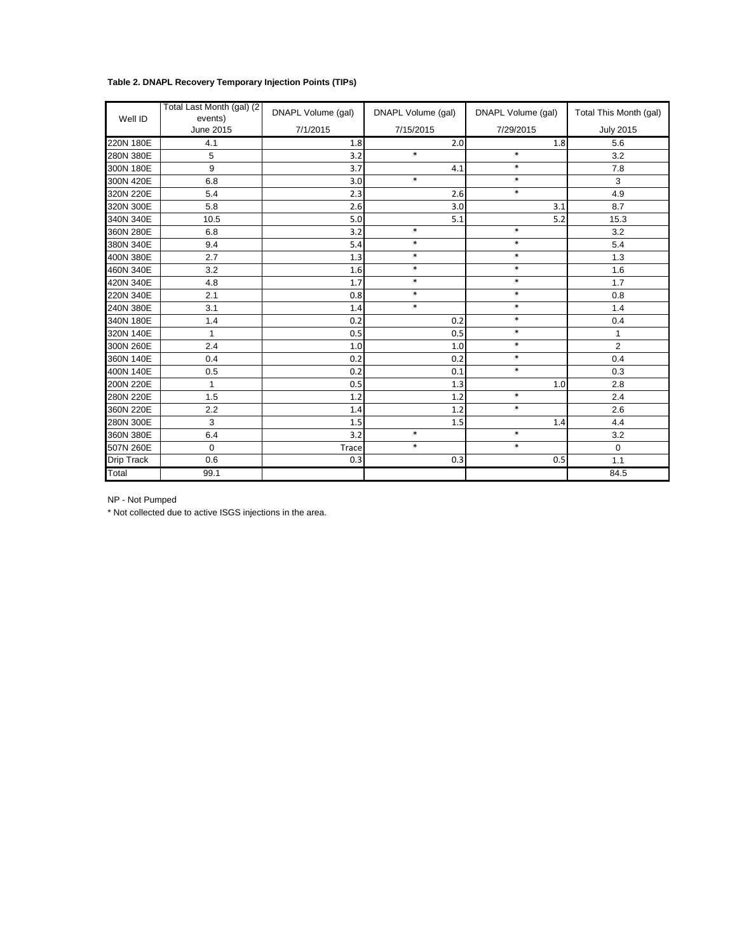## **Table 2. DNAPL Recovery Temporary Injection Points (TIPs)**

| Well ID           | Total Last Month (gal) (2<br>events) | DNAPL Volume (gal) | DNAPL Volume (gal) | DNAPL Volume (gal) | Total This Month (gal) |
|-------------------|--------------------------------------|--------------------|--------------------|--------------------|------------------------|
|                   | <b>June 2015</b>                     | 7/1/2015           | 7/15/2015          | 7/29/2015          | <b>July 2015</b>       |
| 220N 180E         | 4.1                                  | 1.8                | 2.0                | 1.8                | 5.6                    |
| 280N 380E         | 5                                    | 3.2                | $\ast$             | $\ast$             | 3.2                    |
| 300N 180E         | 9                                    | 3.7                | 4.1                | $\ast$             | 7.8                    |
| 300N 420E         | 6.8                                  | 3.0                | $\ast$             | $\ast$             | 3                      |
| 320N 220E         | 5.4                                  | 2.3                | 2.6                | $\ast$             | 4.9                    |
| 320N 300E         | 5.8                                  | 2.6                | 3.0                | 3.1                | 8.7                    |
| 340N 340E         | 10.5                                 | 5.0                | 5.1                | 5.2                | 15.3                   |
| 360N 280E         | 6.8                                  | 3.2                | $\ast$             | $\ast$             | 3.2                    |
| 380N 340E         | 9.4                                  | 5.4                | $\ast$             | $\ast$             | 5.4                    |
| 400N 380E         | 2.7                                  | 1.3                | $\ast$             | $\ast$             | 1.3                    |
| 460N 340E         | 3.2                                  | 1.6                | $\ast$             | $\ast$             | 1.6                    |
| 420N 340E         | 4.8                                  | 1.7                | $\ast$             | $\ast$             | 1.7                    |
| 220N 340E         | 2.1                                  | 0.8                | $\ast$             | $\ast$             | 0.8                    |
| 240N 380E         | 3.1                                  | 1.4                | $\ast$             | $\ast$             | 1.4                    |
| 340N 180E         | 1.4                                  | 0.2                | 0.2                | $\ast$             | 0.4                    |
| 320N 140E         | $\mathbf{1}$                         | 0.5                | 0.5                | $\ast$             | $\mathbf{1}$           |
| 300N 260E         | 2.4                                  | $1.0$              | 1.0                | $\ast$             | $\overline{2}$         |
| 360N 140E         | 0.4                                  | 0.2                | 0.2                | $\ast$             | 0.4                    |
| 400N 140E         | 0.5                                  | 0.2                | 0.1                | $\ast$             | 0.3                    |
| 200N 220E         | $\mathbf{1}$                         | 0.5                | 1.3                | 1.0                | 2.8                    |
| 280N 220E         | 1.5                                  | 1.2                | 1.2                | $\ast$             | 2.4                    |
| 360N 220E         | 2.2                                  | 1.4                | 1.2                | $\ast$             | 2.6                    |
| 280N 300E         | 3                                    | 1.5                | 1.5                | 1.4                | 4.4                    |
| 360N 380E         | 6.4                                  | 3.2                | $\ast$             | $\ast$             | 3.2                    |
| 507N 260E         | $\mathbf 0$                          | <b>Trace</b>       | $\ast$             | $\ast$             | $\mathbf 0$            |
| <b>Drip Track</b> | 0.6                                  | 0.3                | 0.3                | 0.5                | 1.1                    |
| Total             | 99.1                                 |                    |                    |                    | 84.5                   |

NP - Not Pumped

\* Not collected due to active ISGS injections in the area.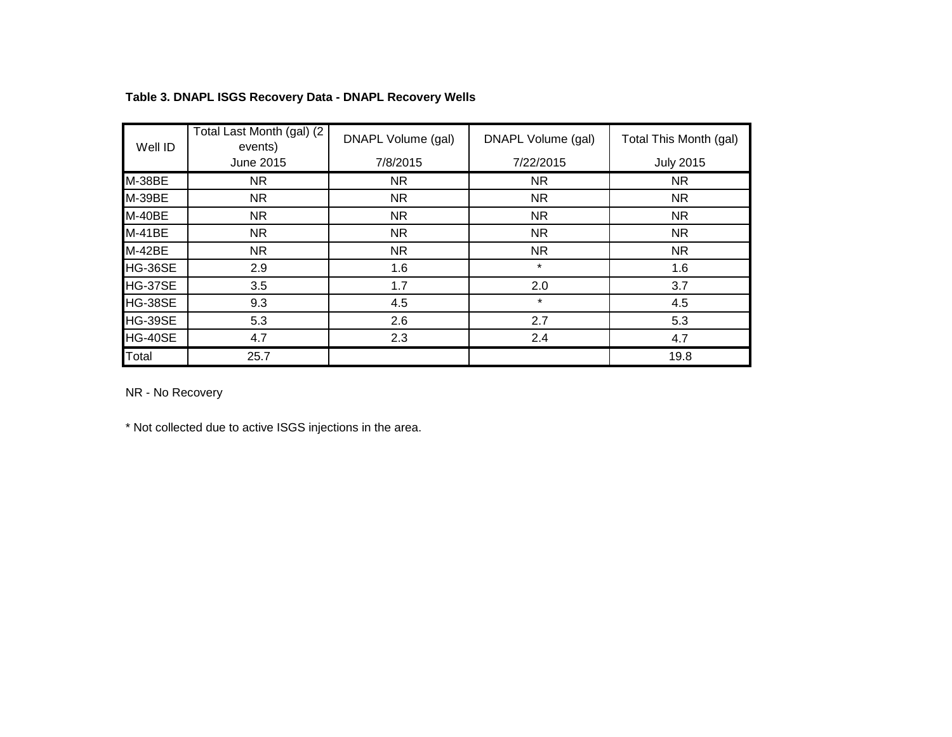| Well ID  | Total Last Month (gal) (2)<br>events) | DNAPL Volume (gal) | DNAPL Volume (gal) | Total This Month (gal) |
|----------|---------------------------------------|--------------------|--------------------|------------------------|
|          | June 2015                             | 7/8/2015           | 7/22/2015          | <b>July 2015</b>       |
| M-38BE   | NR.                                   | NR.                | NR.                | NR.                    |
| M-39BE   | NR.                                   | NR.                | NR.                | <b>NR</b>              |
| M-40BE   | NR.                                   | NR.                | NR.                | <b>NR</b>              |
| $M-41BE$ | NR.                                   | NR.                | NR.                | <b>NR</b>              |
| $M-42BE$ | NR.                                   | NR.                | NR.                | NR.                    |
| HG-36SE  | 2.9                                   | 1.6                | $\star$            | 1.6                    |
| HG-37SE  | 3.5                                   | 1.7                | 2.0                | 3.7                    |
| HG-38SE  | 9.3                                   | 4.5                | $\star$            | 4.5                    |
| HG-39SE  | 5.3                                   | 2.6                | 2.7                | 5.3                    |
| HG-40SE  | 4.7                                   | 2.3                | 2.4                | 4.7                    |
| Total    | 25.7                                  |                    |                    | 19.8                   |

## **Table 3. DNAPL ISGS Recovery Data - DNAPL Recovery Wells**

NR - No Recovery

\* Not collected due to active ISGS injections in the area.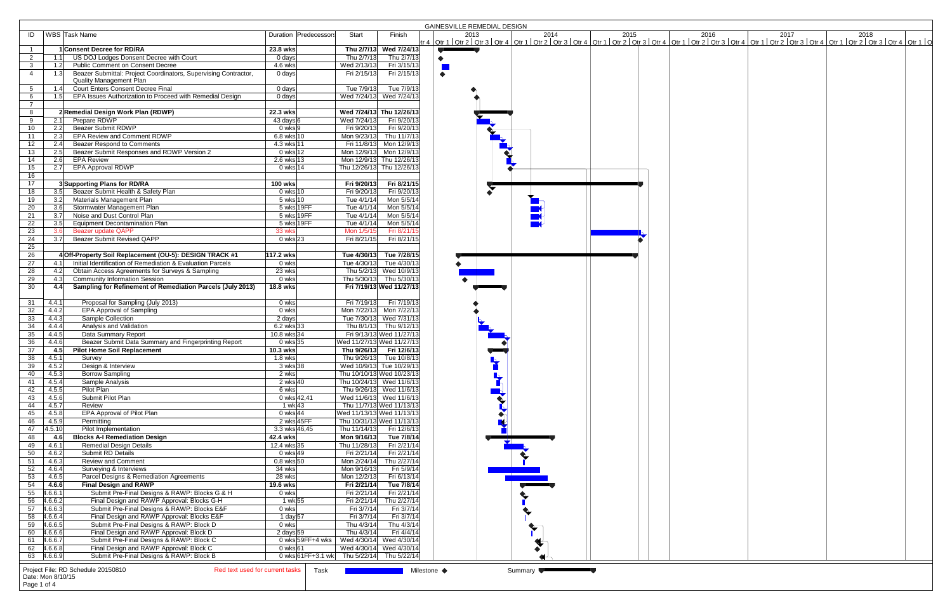|                                         |                                                                             |                             |                       |                                            |                           | <b>GAINESVILLE REMEDIAL DESIGN</b>                                                                                                                                                                                             |
|-----------------------------------------|-----------------------------------------------------------------------------|-----------------------------|-----------------------|--------------------------------------------|---------------------------|--------------------------------------------------------------------------------------------------------------------------------------------------------------------------------------------------------------------------------|
| ID                                      | WBS Task Name                                                               |                             | Duration Predecessors | Start                                      | Finish                    | 2013 2014 2015 2016 2016 2017 2017 2018 2018 2016 2017 2018 2017 2018 2017 2018 2017 2018 2017 2018 2017 2018<br>Itr 4   Qtr 1   Qtr 2   Qtr 3   Qtr 4   Qtr 1   Qtr 2   Qtr 3   Qtr 1   Qtr 2   Qtr 3   Qtr 3   Qtr 2   Qtr 2 |
|                                         | 1 Consent Decree for RD/RA                                                  | 23.8 wks                    |                       |                                            | Thu 2/7/13 Wed 7/24/13    |                                                                                                                                                                                                                                |
| $\overline{2}$<br>1.1                   | US DOJ Lodges Donsent Decree with Court                                     | $0$ days                    |                       | Thu 2/7/13                                 | Thu 2/7/13                |                                                                                                                                                                                                                                |
| 3 <sup>1</sup><br>1.2                   | <b>Public Comment on Consent Decree</b>                                     | 4.6 wks                     |                       | Wed 2/13/13                                | Fri 3/15/13               |                                                                                                                                                                                                                                |
| $\overline{4}$<br>1.3                   | Beazer Submittal: Project Coordinators, Supervising Contractor,             | 0 days                      |                       | Fri 2/15/13                                | Fri 2/15/13               | $\bullet$                                                                                                                                                                                                                      |
|                                         | Quality Management Plan<br><b>Court Enters Consent Decree Final</b>         |                             |                       |                                            | Tue 7/9/13                |                                                                                                                                                                                                                                |
| 5 <sup>5</sup><br>1.4<br>6<br>1.5       | EPA Issues Authorization to Proceed with Remedial Design                    | 0 days<br>0 days            |                       | Tue 7/9/13                                 | Wed 7/24/13 Wed 7/24/13   |                                                                                                                                                                                                                                |
| $7^{\circ}$                             |                                                                             |                             |                       |                                            |                           |                                                                                                                                                                                                                                |
| 8                                       | 2 Remedial Design Work Plan (RDWP)                                          | 22.3 wks                    |                       |                                            | Wed 7/24/13 Thu 12/26/13  |                                                                                                                                                                                                                                |
| 9<br>2.1                                | Prepare RDWP                                                                | $43 \text{ days}$ 6         |                       | Wed 7/24/13                                | Fri 9/20/13               |                                                                                                                                                                                                                                |
| 10<br>2.2                               | <b>Beazer Submit RDWP</b>                                                   | $0$ wks $9$                 |                       | Fri 9/20/13                                | Fri 9/20/13               |                                                                                                                                                                                                                                |
| 11<br>2.3                               | <b>EPA Review and Comment RDWP</b>                                          | 6.8 wks 10                  |                       | Mon 9/23/13                                | Thu 11/7/13               |                                                                                                                                                                                                                                |
| 12<br>2.4                               | <b>Beazer Respond to Comments</b>                                           | 4.3 wks 11                  |                       |                                            | Fri 11/8/13 Mon 12/9/13   |                                                                                                                                                                                                                                |
| 13<br>2.5                               | Beazer Submit Responses and RDWP Version 2                                  | 0 wks 12                    |                       |                                            | Mon 12/9/13 Mon 12/9/13   |                                                                                                                                                                                                                                |
| 14<br>2.6                               | <b>EPA Review</b>                                                           | $2.6$ wks 13                |                       |                                            | Mon 12/9/13 Thu 12/26/13  |                                                                                                                                                                                                                                |
| 15<br>2.7                               | <b>EPA Approval RDWP</b>                                                    | 0 wks 14                    |                       | Thu 12/26/13 Thu 12/26/13                  |                           |                                                                                                                                                                                                                                |
| 16                                      |                                                                             |                             |                       |                                            |                           |                                                                                                                                                                                                                                |
| 17                                      | 3 Supporting Plans for RD/RA                                                | <b>100 wks</b>              |                       | Fri 9/20/13                                | Fri 8/21/15               |                                                                                                                                                                                                                                |
| 18<br>3.5                               | Beazer Submit Health & Safety Plan                                          | $0$ wks $10$                |                       | Fri 9/20/13                                | Fri 9/20/13               |                                                                                                                                                                                                                                |
| 19<br>3.2                               | Materials Management Plan                                                   | 5 wks 10                    |                       | Tue 4/1/14                                 | Mon 5/5/14                |                                                                                                                                                                                                                                |
| 20<br>3.6                               | Stormwater Management Plan                                                  | 5 wks 19FF                  |                       | Tue 4/1/14                                 | Mon 5/5/14                |                                                                                                                                                                                                                                |
| 21<br>3.7                               | Noise and Dust Control Plan<br><b>Equipment Decontamination Plan</b>        | 5 wks 19FF<br>5 wks 19FF    |                       | Tue 4/1/14                                 | Mon 5/5/14<br>Mon 5/5/14  |                                                                                                                                                                                                                                |
| $\overline{22}$<br>3.5<br>23<br>3.6     | <b>Beazer update QAPP</b>                                                   | 33 wks                      |                       | Tue 4/1/14<br>Mon 1/5/15                   | Fri 8/21/15               |                                                                                                                                                                                                                                |
| 24<br>3.7                               | <b>Beazer Submit Revised QAPP</b>                                           | 0 wks 23                    |                       | Fri 8/21/15                                | Fri 8/21/15               |                                                                                                                                                                                                                                |
| $\overline{25}$                         |                                                                             |                             |                       |                                            |                           |                                                                                                                                                                                                                                |
| $\overline{26}$                         | 4 Off-Property Soil Replacement (OU-5): DESIGN TRACK #1                     | 117.2 wks                   |                       |                                            | Tue 4/30/13 Tue 7/28/15   |                                                                                                                                                                                                                                |
| $\overline{27}$<br>4.1                  | Initial Identification of Remediation & Evaluation Parcels                  | 0 wks                       |                       |                                            | Tue 4/30/13 Tue 4/30/13   |                                                                                                                                                                                                                                |
| $\overline{28}$<br>4.2                  | Obtain Access Agreements for Surveys & Sampling                             | 23 wks                      |                       |                                            | Thu 5/2/13 Wed 10/9/13    |                                                                                                                                                                                                                                |
| 29<br>4.3                               | <b>Community Information Session</b>                                        | 0 wks                       |                       |                                            | Thu 5/30/13 Thu 5/30/13   |                                                                                                                                                                                                                                |
| 30<br>4.4                               | Sampling for Refinement of Remediation Parcels (July 2013)                  | 18.8 wks                    |                       |                                            | Fri 7/19/13 Wed 11/27/13  |                                                                                                                                                                                                                                |
|                                         |                                                                             |                             |                       |                                            |                           |                                                                                                                                                                                                                                |
| 31<br>4.4.1                             | Proposal for Sampling (July 2013)                                           | 0 wks                       |                       | Fri 7/19/13                                | Fri 7/19/13               |                                                                                                                                                                                                                                |
| 32<br>4.4.2                             | <b>EPA Approval of Sampling</b>                                             | 0 wks                       |                       |                                            | Mon 7/22/13 Mon 7/22/13   |                                                                                                                                                                                                                                |
| 33<br>4.4.3                             | Sample Collection                                                           | 2 days                      |                       |                                            | Tue 7/30/13 Wed 7/31/13   |                                                                                                                                                                                                                                |
| 34<br>4.4.4                             | Analysis and Validation                                                     | 6.2 wks 33                  |                       |                                            | Thu 8/1/13 Thu 9/12/13    |                                                                                                                                                                                                                                |
| 35<br>4.4.5<br>$\overline{36}$<br>4.4.6 | Data Summary Report<br>Beazer Submit Data Summary and Fingerprinting Report | 10.8 wks 34<br>0 wks 35     |                       | Wed 11/27/13 Wed 11/27/13                  | Fri 9/13/13 Wed 11/27/13  |                                                                                                                                                                                                                                |
| 37<br>4.5                               | <b>Pilot Home Soil Replacement</b>                                          | 10.3 wks                    |                       |                                            | Thu 9/26/13 Fri 12/6/13   |                                                                                                                                                                                                                                |
| 38<br>4.5.1                             | Survey                                                                      | $1.8$ wks                   |                       |                                            | Thu 9/26/13 Tue 10/8/13   |                                                                                                                                                                                                                                |
| 39<br>4.5.2                             | Design & Interview                                                          | 3 wks 38                    |                       |                                            | Wed 10/9/13 Tue 10/29/13  |                                                                                                                                                                                                                                |
| 40<br>4.5.3                             | <b>Borrow Sampling</b>                                                      | 2 wks                       |                       |                                            | Thu 10/10/13 Wed 10/23/13 |                                                                                                                                                                                                                                |
| 4.5.4<br>41                             | Sample Analysis                                                             | 2 wks 40                    |                       | Thu 10/24/13 Wed 11/6/13                   |                           |                                                                                                                                                                                                                                |
| 42<br>4.5.5                             | Pilot Plan                                                                  | 6 wks                       |                       |                                            | Thu 9/26/13 Wed 11/6/13   |                                                                                                                                                                                                                                |
| 4.5.6<br>43                             | Submit Pilot Plan                                                           | 0 wks 42,41                 |                       |                                            | Wed 11/6/13 Wed 11/6/13   |                                                                                                                                                                                                                                |
| 44<br>4.5.7                             | Review                                                                      | 1 wk 43                     |                       |                                            | Thu 11/7/13 Wed 11/13/13  |                                                                                                                                                                                                                                |
| 45<br>4.5.8                             | EPA Approval of Pilot Plan                                                  | 0 wks 44                    |                       | Wed 11/13/13 Wed 11/13/13                  |                           |                                                                                                                                                                                                                                |
| 46<br>4.5.9                             | Permitting                                                                  | 2 wks 45FF<br>3.3 wks 46.45 |                       | Thu 10/31/13 Wed 11/13/13                  |                           |                                                                                                                                                                                                                                |
| 47<br> 4.5.10 <br>48<br>4.6             | Pilot Implementation                                                        |                             |                       | Thu 11/14/13                               | Fri 12/6/13               |                                                                                                                                                                                                                                |
| 49<br>4.6.1                             | <b>Blocks A-I Remediation Design</b><br><b>Remedial Design Details</b>      | 42.4 wks<br>12.4 wks 35     |                       | Mon 9/16/13<br>Thu 11/28/13                | Tue 7/8/14<br>Fri 2/21/14 | ┻                                                                                                                                                                                                                              |
| 50<br>4.6.2                             | Submit RD Details                                                           | 0 wks 49                    |                       | Fri 2/21/14                                | Fri 2/21/14               |                                                                                                                                                                                                                                |
| 51<br>4.6.3                             | Review and Comment                                                          | $0.8$ wks 50                |                       | Mon 2/24/14                                | Thu 2/27/14               |                                                                                                                                                                                                                                |
| 52<br>4.6.4                             | Surveying & Interviews                                                      | 34 wks                      |                       | Mon 9/16/13                                | Fri 5/9/14                |                                                                                                                                                                                                                                |
| 53<br>4.6.5                             | Parcel Designs & Remediation Agreements                                     | 28 wks                      |                       | Mon 12/2/13                                | Fri 6/13/14               |                                                                                                                                                                                                                                |
| $\overline{54}$<br>4.6.6                | <b>Final Design and RAWP</b>                                                | 19.6 wks                    |                       | Fri 2/21/14                                | Tue 7/8/14                |                                                                                                                                                                                                                                |
| 55<br>4.6.6.1                           | Submit Pre-Final Designs & RAWP: Blocks G & H                               | 0 wks                       |                       | Fri 2/21/14                                | Fri 2/21/14               |                                                                                                                                                                                                                                |
| 56<br>4.6.6.2                           | Final Design and RAWP Approval: Blocks G-H                                  | 1 wk 55                     |                       | Fri 2/21/14                                | Thu 2/27/14               |                                                                                                                                                                                                                                |
| 57<br>4.6.6.3                           | Submit Pre-Final Designs & RAWP: Blocks E&F                                 | 0 wks                       |                       | Fri 3/7/14                                 | Fri 3/7/14                |                                                                                                                                                                                                                                |
| 58<br>4.6.6.4                           | Final Design and RAWP Approval: Blocks E&F                                  | 1 day $57$                  |                       | Fri 3/7/14                                 | Fri 3/7/14                |                                                                                                                                                                                                                                |
| 59<br>4.6.6.5                           | Submit Pre-Final Designs & RAWP: Block D                                    | 0 wks                       |                       | Thu 4/3/14                                 | Thu 4/3/14                |                                                                                                                                                                                                                                |
| 60<br>4.6.6.6                           | Final Design and RAWP Approval: Block D                                     | 2 days $59$                 |                       | Thu 4/3/14                                 | Fri 4/4/14                |                                                                                                                                                                                                                                |
| 4.6.6.7<br>61                           | Submit Pre-Final Designs & RAWP: Block C                                    |                             |                       | 0 wks 59FF+4 wks   Wed 4/30/14 Wed 4/30/14 |                           |                                                                                                                                                                                                                                |
| 62 4.6.6.8                              | Final Design and RAWP Approval: Block C                                     | $0$ wks 61                  |                       |                                            | Wed 4/30/14 Wed 4/30/14   |                                                                                                                                                                                                                                |
| 63 4.6.6.9                              | Submit Pre-Final Designs & RAWP: Block B                                    |                             |                       | 0 wks 61FF+3.1 wk Thu 5/22/14 Thu 5/22/14  |                           |                                                                                                                                                                                                                                |
|                                         | Project File: RD Schedule 20150810<br>Red text used for current tasks       |                             | Task                  |                                            |                           | Milestone ◆<br>Summary <b>Victor</b>                                                                                                                                                                                           |
| Date: Mon 8/10/15                       |                                                                             |                             |                       |                                            |                           |                                                                                                                                                                                                                                |
| Page 1 of 4                             |                                                                             |                             |                       |                                            |                           |                                                                                                                                                                                                                                |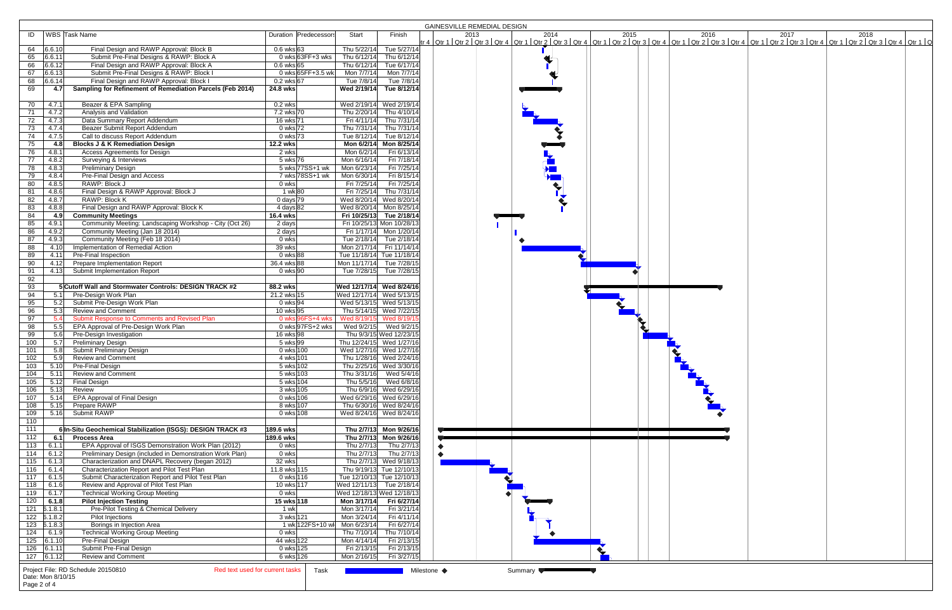|                   |        |                                                                       |                              |                          |                           | <b>GAINESVILLE REMEDIAL DESIGN</b>                                                                                                                                                                                       |
|-------------------|--------|-----------------------------------------------------------------------|------------------------------|--------------------------|---------------------------|--------------------------------------------------------------------------------------------------------------------------------------------------------------------------------------------------------------------------|
| ID                |        | WBS Task Name                                                         | Duration Predecessors        | Start                    | Finish                    | 2015<br>2016<br>2013<br>2014<br>2017<br>2018                                                                                                                                                                             |
|                   |        |                                                                       |                              |                          |                           | tr 4   Qtr 1   Qtr 2   Qtr 3   Qtr 4   Qtr 1   Qtr 2   Qtr 3   Qtr 4   Qtr 1   Qtr 2   Qtr 3   Qtr 1   Qtr 3   Qtr 4   Qtr 1   Qtr 2   Qtr 3   Qtr 4   Qtr 1   Qtr 2   Qtr 3   Qtr 4   Qtr 1   Qtr 3   Qtr 4   Qtr 1   Q |
| 64<br>6.6.10      |        | Final Design and RAWP Approval: Block B                               | $0.6$ wks 63                 | Thu 5/22/14              | Tue 5/27/14               |                                                                                                                                                                                                                          |
| 65<br>6.6.11      |        | Submit Pre-Final Designs & RAWP: Block A                              | 0 wks $63FF+3$ wks           | Thu 6/12/14              | Thu 6/12/14               |                                                                                                                                                                                                                          |
| 66<br>6.6.12      |        | Final Design and RAWP Approval: Block A                               | $0.6$ wks 65                 |                          | Thu 6/12/14 Tue 6/17/14   |                                                                                                                                                                                                                          |
| 67                | 6.6.13 | Submit Pre-Final Designs & RAWP: Block I                              | 0 wks 65FF+3.5 wk            | Mon 7/7/14               | Mon 7/7/14                |                                                                                                                                                                                                                          |
| 68                | 6.6.14 | Final Design and RAWP Approval: Block I                               | $0.2$ wks 67                 | Tue 7/8/14               | Tue 7/8/14                |                                                                                                                                                                                                                          |
| 69                | 4.7    | Sampling for Refinement of Remediation Parcels (Feb 2014)             | 24.8 wks                     |                          | Wed 2/19/14 Tue 8/12/14   |                                                                                                                                                                                                                          |
|                   |        |                                                                       |                              |                          |                           |                                                                                                                                                                                                                          |
| 70                | 4.7.1  | Beazer & EPA Sampling                                                 | $0.2$ wks                    |                          | Wed 2/19/14 Wed 2/19/14   |                                                                                                                                                                                                                          |
|                   | 4.7.2  | Analysis and Validation                                               | 7.2 wks 70                   |                          |                           |                                                                                                                                                                                                                          |
| 71                |        |                                                                       |                              |                          | Thu 2/20/14 Thu 4/10/14   |                                                                                                                                                                                                                          |
| 72                | 4.7.3  | Data Summary Report Addendum                                          | 16 wks 71                    |                          | Fri 4/11/14 Thu 7/31/14   |                                                                                                                                                                                                                          |
| 73                | 4.7.4  | Beazer Submit Report Addendum                                         | $0$ wks $72$                 | Thu 7/31/14              | Thu 7/31/14               |                                                                                                                                                                                                                          |
| 74                | 4.7.5  | Call to discuss Report Addendum                                       | 0 wks 73                     |                          | Tue 8/12/14 Tue 8/12/14   |                                                                                                                                                                                                                          |
| 75                | 4.8    | <b>Blocks J &amp; K Remediation Design</b>                            | 12.2 wks                     |                          | Mon 6/2/14 Mon 8/25/14    |                                                                                                                                                                                                                          |
| 76                | 4.8.1  | Access Agreements for Design                                          | 2 wks                        | Mon 6/2/14               | Fri 6/13/14               |                                                                                                                                                                                                                          |
| 77                | 4.8.2  | Surveying & Interviews                                                | 5 wks 76                     | Mon 6/16/14              | Fri 7/18/14               |                                                                                                                                                                                                                          |
| $\overline{78}$   | 4.8.3  | <b>Preliminary Design</b>                                             | 5 wks 77SS+1 wk              | Mon 6/23/14              | Fri 7/25/14               |                                                                                                                                                                                                                          |
| 79                | 4.8.4  | Pre-Final Design and Access                                           | 7 wks 78SS+1 wk              | Mon 6/30/14              | Fri 8/15/14               |                                                                                                                                                                                                                          |
| 80                | 4.8.5  | RAWP: Block J                                                         | 0 wks                        | Fri 7/25/14              | Fri 7/25/14               |                                                                                                                                                                                                                          |
| 81                | 4.8.6  | Final Design & RAWP Approval: Block J                                 | 1 wk 80                      | Fri 7/25/14              | Thu 7/31/14               |                                                                                                                                                                                                                          |
| 82                | 4.8.7  | RAWP: Block K                                                         | $0 \text{ days}$ 79          |                          | Wed 8/20/14 Wed 8/20/14   |                                                                                                                                                                                                                          |
| 83                | 4.8.8  | Final Design and RAWP Approval: Block K                               | 4 days 82                    |                          | Wed 8/20/14 Mon 8/25/14   |                                                                                                                                                                                                                          |
| 84                | 4.9    | <b>Community Meetings</b>                                             | 16.4 wks                     |                          | Fri 10/25/13 Tue 2/18/14  |                                                                                                                                                                                                                          |
| 85                | 4.9.1  | Community Meeting: Landscaping Workshop - City (Oct 26)               | 2 days                       |                          | Fri 10/25/13 Mon 10/28/13 |                                                                                                                                                                                                                          |
| 86                | 4.9.2  | Community Meeting (Jan 18 2014)                                       | 2 days                       |                          | Fri 1/17/14 Mon 1/20/14   |                                                                                                                                                                                                                          |
|                   | 4.9.3  |                                                                       | 0 wks                        |                          |                           |                                                                                                                                                                                                                          |
| 87                |        | Community Meeting (Feb 18 2014)                                       |                              |                          | Tue 2/18/14 Tue 2/18/14   |                                                                                                                                                                                                                          |
| 88                | 4.10   | Implementation of Remedial Action                                     | 39 wks                       |                          | Mon 2/17/14 Fri 11/14/14  |                                                                                                                                                                                                                          |
| 89                | 4.11   | Pre-Final Inspection                                                  | 0 wks 88                     |                          | Tue 11/18/14 Tue 11/18/14 |                                                                                                                                                                                                                          |
| 90                | 4.12   | Prepare Implementation Report                                         | 36.4 wks 88                  |                          | Mon 11/17/14 Tue 7/28/15  |                                                                                                                                                                                                                          |
| 91                | 4.13   | Submit Implementation Report                                          | $0$ wks $90$                 |                          | Tue 7/28/15 Tue 7/28/15   |                                                                                                                                                                                                                          |
| 92                |        |                                                                       |                              |                          |                           |                                                                                                                                                                                                                          |
| 93                |        | 5 Cutoff Wall and Stormwater Controls: DESIGN TRACK #2                | 88.2 wks                     | Wed 12/17/14 Wed 8/24/16 |                           |                                                                                                                                                                                                                          |
| 94                | 5.1    | Pre-Design Work Plan                                                  | 21.2 wks 15                  | Wed 12/17/14 Wed 5/13/15 |                           |                                                                                                                                                                                                                          |
| 95                | 5.2    | Submit Pre-Design Work Plan                                           | 0 wks <sup>94</sup>          |                          | Wed 5/13/15 Wed 5/13/15   |                                                                                                                                                                                                                          |
| 96                | 5.3    | <b>Review and Comment</b>                                             | 10 wks 95                    |                          | Thu 5/14/15 Wed 7/22/15   |                                                                                                                                                                                                                          |
| 97                | 5.4    | Submit Response to Comments and Revised Plan                          | 0 wks 96FS+4 wks             |                          | Wed 8/19/15 Wed 8/19/15   |                                                                                                                                                                                                                          |
| 98                | 5.5    | EPA Approval of Pre-Design Work Plan                                  | 0 wks 97FS+2 wks             |                          | Wed 9/2/15 Wed 9/2/15     |                                                                                                                                                                                                                          |
| 99                | 5.6    | Pre-Design Investigation                                              | 16 wks 98                    |                          | Thu 9/3/15 Wed 12/23/15   |                                                                                                                                                                                                                          |
| 100               | 5.7    | <b>Preliminary Design</b>                                             | $5$ wks 99                   |                          | Thu 12/24/15 Wed 1/27/16  |                                                                                                                                                                                                                          |
| 101               | 5.8    | Submit Preliminary Design                                             | 0 wks 100                    |                          | Wed 1/27/16 Wed 1/27/16   |                                                                                                                                                                                                                          |
| 102               | 5.9    | <b>Review and Comment</b>                                             |                              |                          |                           |                                                                                                                                                                                                                          |
|                   |        |                                                                       | 4 wks 101                    |                          | Thu 1/28/16 Wed 2/24/16   |                                                                                                                                                                                                                          |
| 103               | 5.10   | <b>Pre-Final Design</b>                                               | 5 wks 102                    |                          | Thu 2/25/16 Wed 3/30/16   |                                                                                                                                                                                                                          |
| 104               | 5.11   | <b>Review and Comment</b>                                             | 5 wks 103                    |                          | Thu 3/31/16 Wed 5/4/16    |                                                                                                                                                                                                                          |
| 105               | 5.12   | <b>Final Design</b>                                                   | 5 wks 104                    |                          | Thu 5/5/16 Wed 6/8/16     |                                                                                                                                                                                                                          |
| 106               | 5.13   | Review                                                                | 3 wks 105                    |                          | Thu 6/9/16 Wed 6/29/16    |                                                                                                                                                                                                                          |
| 107               | 5.14   | EPA Approval of Final Design                                          | 0 wks 106                    |                          | Wed 6/29/16 Wed 6/29/16   |                                                                                                                                                                                                                          |
| 108               | 5.15   | Prepare RAWP                                                          | 8 wks 107                    |                          | Thu 6/30/16 Wed 8/24/16   |                                                                                                                                                                                                                          |
| 109               | 5.16   | Submit RAWP                                                           | 0 wks 108                    |                          | Wed 8/24/16 Wed 8/24/16   |                                                                                                                                                                                                                          |
| 110               |        |                                                                       |                              |                          |                           |                                                                                                                                                                                                                          |
| $\boxed{111}$     |        | 6 In-Situ Geochemical Stabilization (ISGS): DESIGN TRACK #3           | 189.6 wks                    |                          | Thu 2/7/13 Mon 9/26/16    | and the property of the<br><b>Contract Contract</b>                                                                                                                                                                      |
| 112               | 6.1    | <b>Process Area</b>                                                   | 189.6 wks                    |                          | Thu 2/7/13 Mon 9/26/16    |                                                                                                                                                                                                                          |
| 113               | 6.1.1  | EPA Approval of ISGS Demonstration Work Plan (2012)                   | 0 wks                        |                          | Thu 2/7/13 Thu 2/7/13     |                                                                                                                                                                                                                          |
| 114               | 6.1.2  | Preliminary Design (included in Demonstration Work Plan)              | 0 wks                        | Thu 2/7/13               | Thu 2/7/13                |                                                                                                                                                                                                                          |
| 115               | 6.1.3  | Characterization and DNAPL Recovery (began 2012)                      | 32 wks                       |                          | Thu 2/7/13 Wed 9/18/13    |                                                                                                                                                                                                                          |
| 116               | 6.1.4  | Characterization Report and Pilot Test Plan                           | 11.8 wks 115                 |                          | Thu 9/19/13 Tue 12/10/13  |                                                                                                                                                                                                                          |
| 117               | 6.1.5  | Submit Characterization Report and Pilot Test Plan                    | 0 wks 116                    |                          | Tue 12/10/13 Tue 12/10/13 |                                                                                                                                                                                                                          |
| 118               | 6.1.6  | Review and Approval of Pilot Test Plan                                | 10 wks 117                   |                          | Wed 12/11/13 Tue 2/18/14  |                                                                                                                                                                                                                          |
| 119               | 6.1.7  | <b>Technical Working Group Meeting</b>                                | 0 wks                        |                          | Wed 12/18/13 Wed 12/18/13 |                                                                                                                                                                                                                          |
| 120               | 6.1.8  | <b>Pilot Injection Testing</b>                                        | 15 wks 118                   |                          | Mon 3/17/14 Fri 6/27/14   |                                                                                                                                                                                                                          |
| $121$ $5.1.8.1$   |        | Pre-Pilot Testing & Chemical Delivery                                 | 1 wk                         | Mon 3/17/14              | Fri 3/21/14               |                                                                                                                                                                                                                          |
| $122$ $5.1.8.2$   |        | <b>Pilot Injections</b>                                               | 3 wks 121                    | Mon 3/24/14              | Fri 4/11/14               |                                                                                                                                                                                                                          |
|                   |        |                                                                       |                              |                          |                           |                                                                                                                                                                                                                          |
| $123$ $3.1.8.3$   |        | Borings in Injection Area                                             | 1 wk 122FS+10 wl Mon 6/23/14 |                          | Fri 6/27/14               |                                                                                                                                                                                                                          |
| 124               | 6.1.9  | <b>Technical Working Group Meeting</b>                                | 0 wks                        | Thu 7/10/14              | Thu 7/10/14               |                                                                                                                                                                                                                          |
| $125$ 6.1.10      |        | Pre-Final Design                                                      | 44 wks 122                   | Mon 4/14/14              | Fri 2/13/15               |                                                                                                                                                                                                                          |
| $126$ 6.1.11      |        | Submit Pre-Final Design                                               | 0 wks 125                    | Fri 2/13/15              | Fri 2/13/15               |                                                                                                                                                                                                                          |
| $127$ 6.1.12      |        | <b>Review and Comment</b>                                             | 6 wks 126                    | Mon 2/16/15              | Fri 3/27/15               |                                                                                                                                                                                                                          |
|                   |        | Project File: RD Schedule 20150810<br>Red text used for current tasks |                              |                          |                           |                                                                                                                                                                                                                          |
| Date: Mon 8/10/15 |        |                                                                       | Task                         |                          |                           | Milestone ◆<br>Summary                                                                                                                                                                                                   |
|                   |        |                                                                       |                              |                          |                           |                                                                                                                                                                                                                          |
| Page 2 of 4       |        |                                                                       |                              |                          |                           |                                                                                                                                                                                                                          |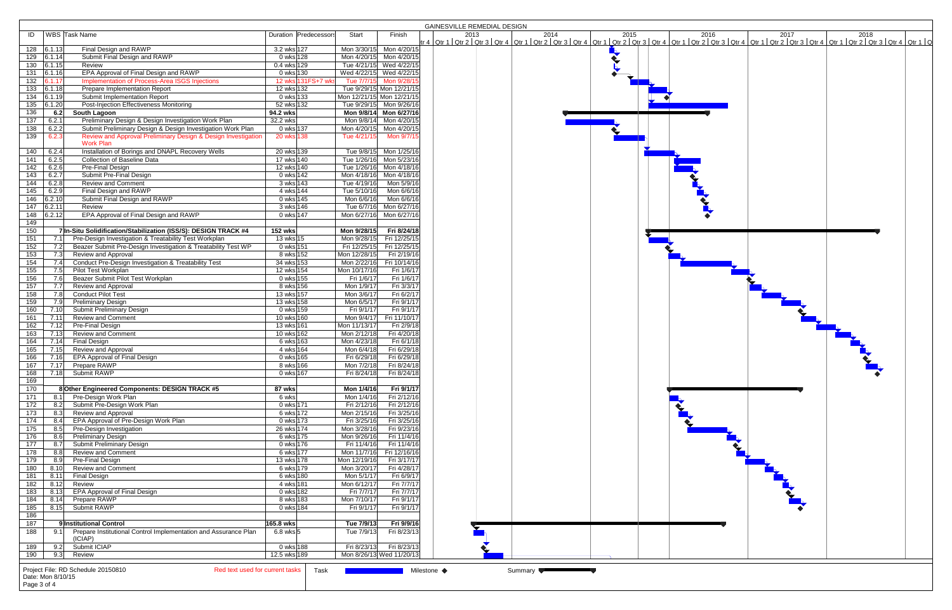|                                          |                                                                       |               |                       |                                                    |              |              | <b>GAINESVILLE REMEDIAL DESIGN</b>                                                                                                                                                                                             |
|------------------------------------------|-----------------------------------------------------------------------|---------------|-----------------------|----------------------------------------------------|--------------|--------------|--------------------------------------------------------------------------------------------------------------------------------------------------------------------------------------------------------------------------------|
| ID                                       | WBS Task Name                                                         |               | Duration Predecessors | Start                                              | Finish       |              | 2013 2014 2015 2016 2017 2017 2018 2018 2018 2017 2018 2017 2018 2017 2018 2017 2018 2017 2018 2017 2018 2017 2018 2017 2018 2017 2018 2017 2018 2017 2018 2017 2018 2017 2018 2017 2018 2017 2018 2017 2018 2017 2018 2017 20 |
|                                          |                                                                       |               |                       |                                                    |              |              |                                                                                                                                                                                                                                |
| $128$ 6.1.13                             | Final Design and RAWP                                                 | 3.2 wks 127   |                       | Mon 3/30/15 Mon 4/20/15                            |              |              |                                                                                                                                                                                                                                |
| $129$ 6.1.14                             | Submit Final Design and RAWP                                          | $0$ wks 128   |                       | Mon 4/20/15 Mon 4/20/15                            |              |              |                                                                                                                                                                                                                                |
| 130   6.1.15                             | Review<br>EPA Approval of Final Design and RAWP                       | 0.4 wks 129   |                       | Tue 4/21/15 Wed 4/22/15<br>Wed 4/22/15 Wed 4/22/15 |              |              |                                                                                                                                                                                                                                |
| 131 6.1.16<br>$\overline{132}$<br>6.1.17 | Implementation of Process-Area ISGS Injections                        | 0 wks 130     | 12 wks 131FS+7 wks    | Tue 7/7/15 Mon 9/28/1                              |              |              |                                                                                                                                                                                                                                |
| 133   6.1.18                             | Prepare Implementation Report                                         | 12 wks 132    |                       | Tue 9/29/15 Mon 12/21/15                           |              |              |                                                                                                                                                                                                                                |
| 134<br> 6.1.19                           | Submit Implementation Report                                          | 0 wks 133     |                       | Mon 12/21/15 Mon 12/21/15                          |              |              |                                                                                                                                                                                                                                |
| $\overline{135}$<br>6.1.20               | Post-Injection Effectiveness Monitoring                               | 52 wks 132    |                       | Tue 9/29/15 Mon 9/26/16                            |              |              |                                                                                                                                                                                                                                |
| 136<br>6.2                               | South Lagoon                                                          | 94.2 wks      |                       | Mon 9/8/14 Mon 6/27/16                             |              |              |                                                                                                                                                                                                                                |
| $\overline{137}$<br>6.2.1                | Preliminary Design & Design Investigation Work Plan                   | 32.2 wks      |                       | Mon 9/8/14 Mon 4/20/15                             |              |              |                                                                                                                                                                                                                                |
| 138<br>6.2.2                             | Submit Preliminary Design & Design Investigation Work Plan            | 0 wks 137     |                       | Mon 4/20/15 Mon 4/20/15                            |              |              |                                                                                                                                                                                                                                |
| 6.2.3<br>139                             | Review and Approval Preliminary Design & Design Investigation         | 20 wks 138    |                       | Tue 4/21/15                                        |              | Mon 9/7/1    |                                                                                                                                                                                                                                |
|                                          | <b>Work Plan</b>                                                      |               |                       |                                                    |              |              |                                                                                                                                                                                                                                |
| 6.2.4<br>140                             | Installation of Borings and DNAPL Recovery Wells                      | 20 wks 139    |                       | Tue 9/8/15 Mon 1/25/16                             |              |              |                                                                                                                                                                                                                                |
| 6.2.5<br>141                             | <b>Collection of Baseline Data</b>                                    | 17 wks 140    |                       | Tue 1/26/16 Mon 5/23/16                            |              |              |                                                                                                                                                                                                                                |
| 6.2.6<br>142                             | Pre-Final Design                                                      | 12 wks 140    |                       | Tue 1/26/16 Mon 4/18/16                            |              |              |                                                                                                                                                                                                                                |
| 143<br>6.2.7                             | Submit Pre-Final Design                                               | 0 wks 142     |                       | Mon 4/18/16 Mon 4/18/16                            |              |              |                                                                                                                                                                                                                                |
| 144<br>6.2.8                             | <b>Review and Comment</b>                                             | 3 wks 143     |                       | Tue 4/19/16                                        |              | Mon 5/9/16   |                                                                                                                                                                                                                                |
| 145<br>6.2.9                             | Final Design and RAWP                                                 | 4 wks 144     |                       | Tue 5/10/16                                        |              | Mon 6/6/16   |                                                                                                                                                                                                                                |
| 146<br>6.2.10                            | Submit Final Design and RAWP                                          | 0 wks 145     |                       | Mon 6/6/16                                         |              | Mon 6/6/16   |                                                                                                                                                                                                                                |
| 6.2.11<br>147                            | Review                                                                | 3 wks 146     |                       | Tue 6/7/16                                         | Mon 6/27/16  |              |                                                                                                                                                                                                                                |
| 6.2.12<br>148                            | EPA Approval of Final Design and RAWP                                 | 0 wks 147     |                       | Mon 6/27/16 Mon 6/27/16                            |              |              |                                                                                                                                                                                                                                |
| 149                                      |                                                                       |               |                       |                                                    |              |              |                                                                                                                                                                                                                                |
| 150                                      | 7 In-Situ Solidification/Stabilization (ISS/S): DESIGN TRACK #4       | 152 wks       |                       | Mon 9/28/15                                        |              | Fri 8/24/18  |                                                                                                                                                                                                                                |
| 151<br>7.1                               | Pre-Design Investigation & Treatability Test Workplan                 | 13 wks 15     |                       | Mon 9/28/15                                        | Fri 12/25/15 |              |                                                                                                                                                                                                                                |
| 152<br>7.2                               | Beazer Submit Pre-Design Investigation & Treatability Test WP         | 0 wks 151     |                       | Fri 12/25/15                                       | Fri 12/25/15 |              |                                                                                                                                                                                                                                |
| 153<br>7.3                               | Review and Approval                                                   | 8 wks 152     |                       | Mon 12/28/15                                       |              | Fri 2/19/16  |                                                                                                                                                                                                                                |
| 154<br>7.4                               | Conduct Pre-Design Investigation & Treatability Test                  | 34 wks 153    |                       | Mon 2/22/16                                        | Fri 10/14/16 |              |                                                                                                                                                                                                                                |
| 155<br>7.5                               | Pilot Test Workplan                                                   | 12 wks 154    |                       | Mon 10/17/16                                       |              | Fri 1/6/17   |                                                                                                                                                                                                                                |
| 156<br>7.6                               | Beazer Submit Pilot Test Workplan                                     | 0 wks 155     |                       | Fri 1/6/17                                         |              | Fri 1/6/17   |                                                                                                                                                                                                                                |
| 157<br>7.7                               | Review and Approval                                                   | 8 wks 156     |                       | Mon 1/9/17                                         |              | Fri 3/3/17   |                                                                                                                                                                                                                                |
| 158<br>7.8                               | Conduct Pilot Test                                                    | 13 wks 157    |                       | Mon 3/6/17                                         |              | Fri 6/2/17   |                                                                                                                                                                                                                                |
| 159<br>7.9                               | <b>Preliminary Design</b>                                             | 13 wks 158    |                       | Mon 6/5/17                                         |              | Fri 9/1/17   |                                                                                                                                                                                                                                |
| 160<br>7.10                              | Submit Preliminary Design                                             | 0 wks 159     |                       | Fri 9/1/17                                         |              | Fri 9/1/17   |                                                                                                                                                                                                                                |
| 161<br>7.11                              | <b>Review and Comment</b>                                             | 10 wks 160    |                       | Mon 9/4/17                                         | Fri 11/10/17 |              |                                                                                                                                                                                                                                |
| 162<br>7.12                              | Pre-Final Design                                                      | 13 wks 161    |                       | Mon 11/13/17                                       |              | Fri 2/9/18   |                                                                                                                                                                                                                                |
| 7.13<br>163                              | Review and Comment                                                    | 10 wks 162    |                       | Mon 2/12/18                                        |              | Fri 4/20/18  |                                                                                                                                                                                                                                |
| 164<br>7.14                              | Final Design                                                          | 6 wks 163     |                       | Mon 4/23/18                                        |              | Fri 6/1/18   |                                                                                                                                                                                                                                |
| 165<br>7.15                              | Review and Approval                                                   | 4 wks 164     |                       | Mon 6/4/18                                         |              | Fri 6/29/18  |                                                                                                                                                                                                                                |
| 166<br>7.16                              | EPA Approval of Final Design                                          | 0 wks 165     |                       | Fri 6/29/18                                        |              | Fri 6/29/18  |                                                                                                                                                                                                                                |
| 167<br>7.17                              | Prepare RAWP                                                          | 8 wks 166     |                       | Mon 7/2/18                                         |              | Fri 8/24/18  |                                                                                                                                                                                                                                |
| 168<br>7.18                              | Submit RAWP                                                           | 0 wks 167     |                       | Fri 8/24/18                                        |              | Fri 8/24/18  |                                                                                                                                                                                                                                |
| 169                                      |                                                                       |               |                       |                                                    |              |              |                                                                                                                                                                                                                                |
| 170                                      | 8 Other Engineered Components: DESIGN TRACK #5                        | 87 wks        |                       | Mon 1/4/16                                         |              | Fri 9/1/17   |                                                                                                                                                                                                                                |
| 171<br>8.1                               | Pre-Design Work Plan                                                  | 6 wks         |                       | Mon 1/4/16                                         |              | Fri 2/12/16  |                                                                                                                                                                                                                                |
| $\overline{172}$<br>8.2                  | Submit Pre-Design Work Plan                                           | 0 wks 171     |                       | Fri 2/12/16                                        |              | Fri 2/12/16  |                                                                                                                                                                                                                                |
| $\overline{173}$<br>8.3                  | Review and Approval                                                   | 6 wks 172     |                       | Mon 2/15/16                                        |              | Fri 3/25/16  |                                                                                                                                                                                                                                |
| 174<br>8.4                               | EPA Approval of Pre-Design Work Plan                                  | 0 wks 173     |                       | Fri 3/25/16                                        |              | Fri 3/25/16  |                                                                                                                                                                                                                                |
| $\frac{175}{2}$<br>8.5                   | Pre-Design Investigation                                              | 26 wks 174    |                       | Mon 3/28/16                                        |              | Fri 9/23/16  |                                                                                                                                                                                                                                |
| 176<br>8.6                               | <b>Preliminary Design</b>                                             | 6 wks 175     |                       | Mon 9/26/16                                        |              | Fri 11/4/16  |                                                                                                                                                                                                                                |
| 177<br>8.7                               | Submit Preliminary Design                                             | 0 wks 176     |                       | Fri 11/4/16                                        |              | Fri 11/4/16  |                                                                                                                                                                                                                                |
| 178<br>8.8                               | <b>Review and Comment</b>                                             | 6 wks 177     |                       | Mon 11/7/16                                        |              | Fri 12/16/16 |                                                                                                                                                                                                                                |
| 179                                      | 8.9 Pre-Final Design                                                  | 13 wks 178    |                       | Mon 12/19/16                                       |              | Fri 3/17/17  |                                                                                                                                                                                                                                |
| 180<br>8.10                              | <b>Review and Comment</b>                                             | 6 wks 179     |                       | Mon 3/20/17                                        |              | Fri 4/28/17  |                                                                                                                                                                                                                                |
| 181<br>8.11                              | Final Design                                                          | 6 wks 180     |                       | Mon 5/1/17                                         |              | Fri 6/9/17   |                                                                                                                                                                                                                                |
| 182<br>8.12                              | Review                                                                | 4 wks 181     |                       | Mon 6/12/17                                        |              | Fri 7/7/17   |                                                                                                                                                                                                                                |
| 183<br>8.13                              | <b>EPA Approval of Final Design</b>                                   | 0 wks 182     |                       | Fri 7/7/17                                         |              | Fri 7/7/17   |                                                                                                                                                                                                                                |
| 184<br>8.14                              | Prepare RAWP                                                          | 8 wks 183     |                       | Mon 7/10/17                                        |              | Fri 9/1/17   |                                                                                                                                                                                                                                |
| 185                                      | 8.15 Submit RAWP                                                      | 0 wks 184     |                       | Fri 9/1/17                                         |              | Fri 9/1/17   |                                                                                                                                                                                                                                |
| 186                                      |                                                                       |               |                       |                                                    |              |              |                                                                                                                                                                                                                                |
| 187                                      | 9 Institutional Control                                               | 165.8 wks     |                       | Tue 7/9/13                                         |              | Fri 9/9/16   |                                                                                                                                                                                                                                |
| 188<br>9.1                               | Prepare Institutional Control Implementation and Assurance Plan       | $6.8$ wks $5$ |                       | Tue 7/9/13                                         |              | Fri 8/23/13  |                                                                                                                                                                                                                                |
|                                          | (ICIAP)                                                               |               |                       |                                                    |              |              |                                                                                                                                                                                                                                |
| 189                                      | 9.2 Submit ICIAP                                                      | 0 wks 188     |                       | Fri 8/23/13                                        |              | Fri 8/23/13  |                                                                                                                                                                                                                                |
| 9.3<br>190                               | Review                                                                | 12.5 wks 189  |                       | Mon 8/26/13 Wed 11/20/13                           |              |              |                                                                                                                                                                                                                                |
|                                          |                                                                       |               |                       |                                                    |              |              |                                                                                                                                                                                                                                |
|                                          | Project File: RD Schedule 20150810<br>Red text used for current tasks |               | Task                  |                                                    |              |              | Milestone ◆<br>Summary                                                                                                                                                                                                         |
| Date: Mon 8/10/15                        |                                                                       |               |                       |                                                    |              |              |                                                                                                                                                                                                                                |
| Page 3 of 4                              |                                                                       |               |                       |                                                    |              |              |                                                                                                                                                                                                                                |